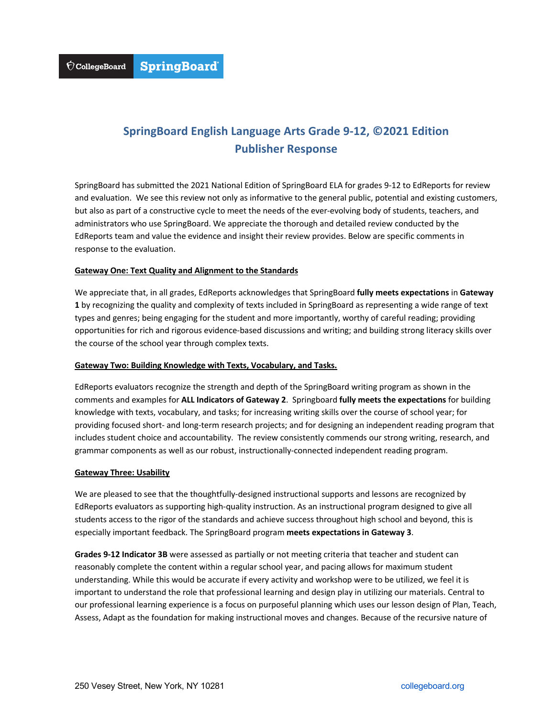## **SpringBoard English Language Arts Grade 9-12, ©2021 Edition Publisher Response**

SpringBoard has submitted the 2021 National Edition of SpringBoard ELA for grades 9-12 to EdReports for review and evaluation. We see this review not only as informative to the general public, potential and existing customers, but also as part of a constructive cycle to meet the needs of the ever-evolving body of students, teachers, and administrators who use SpringBoard. We appreciate the thorough and detailed review conducted by the EdReports team and value the evidence and insight their review provides. Below are specific comments in response to the evaluation.

## **Gateway One: Text Quality and Alignment to the Standards**

We appreciate that, in all grades, EdReports acknowledges that SpringBoard **fully meets expectations** in **Gateway 1** by recognizing the quality and complexity of texts included in SpringBoard as representing a wide range of text types and genres; being engaging for the student and more importantly, worthy of careful reading; providing opportunities for rich and rigorous evidence-based discussions and writing; and building strong literacy skills over the course of the school year through complex texts.

## **Gateway Two: Building Knowledge with Texts, Vocabulary, and Tasks.**

EdReports evaluators recognize the strength and depth of the SpringBoard writing program as shown in the comments and examples for **ALL Indicators of Gateway 2**. Springboard **fully meets the expectations** for building knowledge with texts, vocabulary, and tasks; for increasing writing skills over the course of school year; for providing focused short- and long-term research projects; and for designing an independent reading program that includes student choice and accountability. The review consistently commends our strong writing, research, and grammar components as well as our robust, instructionally-connected independent reading program.

## **Gateway Three: Usability**

We are pleased to see that the thoughtfully-designed instructional supports and lessons are recognized by EdReports evaluators as supporting high-quality instruction. As an instructional program designed to give all students access to the rigor of the standards and achieve success throughout high school and beyond, this is especially important feedback. The SpringBoard program **meets expectations in Gateway 3**.

**Grades 9-12 Indicator 3B** were assessed as partially or not meeting criteria that teacher and student can reasonably complete the content within a regular school year, and pacing allows for maximum student understanding. While this would be accurate if every activity and workshop were to be utilized, we feel it is important to understand the role that professional learning and design play in utilizing our materials. Central to our professional learning experience is a focus on purposeful planning which uses our lesson design of Plan, Teach, Assess, Adapt as the foundation for making instructional moves and changes. Because of the recursive nature of